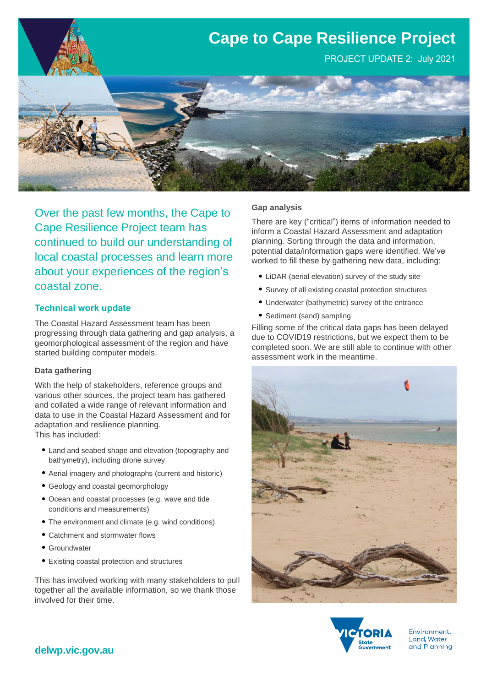

Over the past few months, the Cape to Cape Resilience Project team has continued to build our understanding of local coastal processes and learn more about your experiences of the region's coastal zone.

### **Technical work update**

The Coastal Hazard Assessment team has been progressing through data gathering and gap analysis, a geomorphological assessment of the region and have started building computer models.

### **Data gathering**

With the help of stakeholders, reference groups and various other sources, the project team has gathered and collated a wide range of relevant information and data to use in the Coastal Hazard Assessment and for adaptation and resilience planning. This has included:

- Land and seabed shape and elevation (topography and bathymetry), including drone survey
- Aerial imagery and photographs (current and historic)
- Geology and coastal geomorphology
- Ocean and coastal processes (e.g. wave and tide conditions and measurements)
- The environment and climate (e.g. wind conditions)
- Catchment and stormwater flows
- Groundwater
- Existing coastal protection and structures

This has involved working with many stakeholders to pull together all the available information, so we thank those involved for their time.

### **Gap analysis**

There are key ("critical") items of information needed to inform a Coastal Hazard Assessment and adaptation planning. Sorting through the data and information, potential data/information gaps were identified. We've worked to fill these by gathering new data, including:

- LiDAR (aerial elevation) survey of the study site
- Survey of all existing coastal protection structures
- Underwater (bathymetric) survey of the entrance
- Sediment (sand) sampling

Filling some of the critical data gaps has been delayed due to COVID19 restrictions, but we expect them to be completed soon. We are still able to continue with other assessment work in the meantime.





Environment, Land, Water and Planning

# **delwp.vic.gov.au**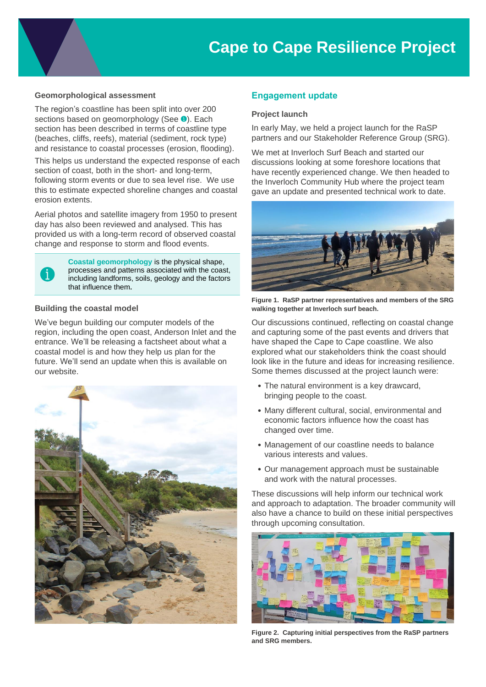# **Cape to Cape Resilience Project**

### **Geomorphological assessment**

The region's coastline has been split into over 200 sections based on geomorphology (See <sup>0</sup>). Each section has been described in terms of coastline type (beaches, cliffs, reefs), material (sediment, rock type) and resistance to coastal processes (erosion, flooding).

This helps us understand the expected response of each section of coast, both in the short- and long-term, following storm events or due to sea level rise. We use this to estimate expected shoreline changes and coastal erosion extents.

Aerial photos and satellite imagery from 1950 to present day has also been reviewed and analysed. This has provided us with a long-term record of observed coastal change and response to storm and flood events.



**Coastal geomorphology** is the physical shape, processes and patterns associated with the coast, including landforms, soils, geology and the factors that influence them**.**

### **Building the coastal model**

We've begun building our computer models of the region, including the open coast, Anderson Inlet and the entrance. We'll be releasing a factsheet about what a coastal model is and how they help us plan for the future. We'll send an update when this is available on our website.



### **Engagement update**

### **Project launch**

In early May, we held a project launch for the RaSP partners and our Stakeholder Reference Group (SRG).

We met at Inverloch Surf Beach and started our discussions looking at some foreshore locations that have recently experienced change. We then headed to the Inverloch Community Hub where the project team gave an update and presented technical work to date.



**Figure 1. RaSP partner representatives and members of the SRG walking together at Inverloch surf beach.**

Our discussions continued, reflecting on coastal change and capturing some of the past events and drivers that have shaped the Cape to Cape coastline. We also explored what our stakeholders think the coast should look like in the future and ideas for increasing resilience. Some themes discussed at the project launch were:

- The natural environment is a key drawcard, bringing people to the coast.
- Many different cultural, social, environmental and economic factors influence how the coast has changed over time.
- Management of our coastline needs to balance various interests and values.
- Our management approach must be sustainable and work with the natural processes.

These discussions will help inform our technical work and approach to adaptation. The broader community will also have a chance to build on these initial perspectives through upcoming consultation.



**Figure 2. Capturing initial perspectives from the RaSP partners and SRG members.**